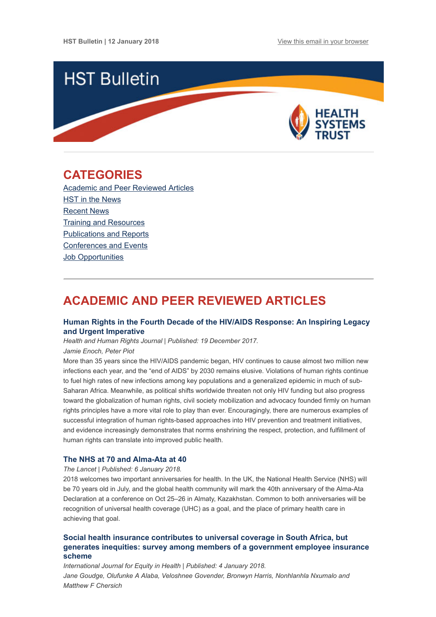

## <span id="page-0-1"></span>CATEGORIES

[Academic and Peer Reviewed Articles](#page-0-0) HST in the News [Recent News](#page-2-0) [Training and Resources](#page-2-1) [Publications and Reports](#page-3-0) [Conferences and Events](#page-3-1) [Job Opportunities](#page-3-2)

# <span id="page-0-0"></span>ACADEMIC AND PEER REVIEWED ARTICLES

#### [Human Rights in the Fourth Decade of the HIV/AIDS Response: An Inspiring Legacy](https://www.ncbi.nlm.nih.gov/pmc/articles/PMC5739363/) and Urgent Imperative

Health and Human Rights Journal | Published: 19 December 2017.

Jamie Enoch, Peter Piot

More than 35 years since the HIV/AIDS pandemic began, HIV continues to cause almost two million new infections each year, and the "end of AIDS" by 2030 remains elusive. Violations of human rights continue to fuel high rates of new infections among key populations and a generalized epidemic in much of sub-Saharan Africa. Meanwhile, as political shifts worldwide threaten not only HIV funding but also progress toward the globalization of human rights, civil society mobilization and advocacy founded firmly on human rights principles have a more vital role to play than ever. Encouragingly, there are numerous examples of successful integration of human rights-based approaches into HIV prevention and treatment initiatives, and evidence increasingly demonstrates that norms enshrining the respect, protection, and fulfillment of human rights can translate into improved public health.

#### [The NHS at 70 and Alma-Ata at 40](http://www.thelancet.com/journals/lancet/article/PIIS0140-6736(18)30003-5/fulltext)

The Lancet | Published: 6 January 2018.

2018 welcomes two important anniversaries for health. In the UK, the National Health Service (NHS) will be 70 years old in July, and the global health community will mark the 40th anniversary of the Alma-Ata Declaration at a conference on Oct 25–26 in Almaty, Kazakhstan. Common to both anniversaries will be recognition of universal health coverage (UHC) as a goal, and the place of primary health care in achieving that goal.

#### Social health insurance contributes to universal coverage in South Africa, but [generates inequities: survey among members of a government employee insurance](https://equityhealthj.biomedcentral.com/articles/10.1186/s12939-017-0710-z) scheme

International Journal for Equity in Health | Published: 4 January 2018. Jane Goudge, Olufunke A Alaba, Veloshnee Govender, Bronwyn Harris, Nonhlanhla Nxumalo and Matthew F Chersich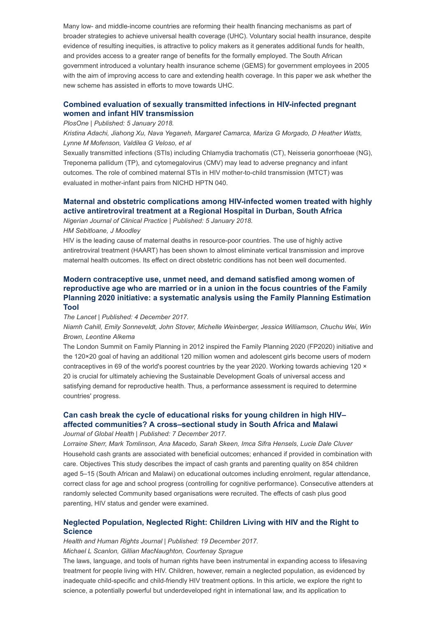Many low- and middle-income countries are reforming their health financing mechanisms as part of broader strategies to achieve universal health coverage (UHC). Voluntary social health insurance, despite evidence of resulting inequities, is attractive to policy makers as it generates additional funds for health, and provides access to a greater range of benefits for the formally employed. The South African government introduced a voluntary health insurance scheme (GEMS) for government employees in 2005 with the aim of improving access to care and extending health coverage. In this paper we ask whether the new scheme has assisted in efforts to move towards UHC.

#### [Combined evaluation of sexually transmitted infections in HIV-infected pregnant](http://journals.plos.org/plosone/article?id=10.1371/journal.pone.0189851) women and infant HIV transmission

#### PlosOne | Published: 5 January 2018.

Kristina Adachi, Jiahong Xu, Nava Yeganeh, Margaret Camarca, Mariza G Morgado, D Heather Watts, Lynne M Mofenson, Valdilea G Veloso, et al

Sexually transmitted infections (STIs) including Chlamydia trachomatis (CT), Neisseria gonorrhoeae (NG), Treponema pallidum (TP), and cytomegalovirus (CMV) may lead to adverse pregnancy and infant outcomes. The role of combined maternal STIs in HIV mother-to-child transmission (MTCT) was evaluated in mother-infant pairs from NICHD HPTN 040.

#### [Maternal and obstetric complications among HIV-infected women treated with highly](http://www.njcponline.com/article.asp?issn=1119-3077;year=2017;volume=20;issue=11;spage=1360;epage=1367;aulast=Sebitloane) active antiretroviral treatment at a Regional Hospital in Durban, South Africa

Nigerian Journal of Clinical Practice | Published: 5 January 2018.

HM Sebitloane, J Moodley

HIV is the leading cause of maternal deaths in resource-poor countries. The use of highly active antiretroviral treatment (HAART) has been shown to almost eliminate vertical transmission and improve maternal health outcomes. Its effect on direct obstetric conditions has not been well documented.

#### Modern contraceptive use, unmet need, and demand satisfied among women of reproductive age who are married or in a union in the focus countries of the Family [Planning 2020 initiative: a systematic analysis using the Family Planning Estimation](http://www.thelancet.com/journals/lancet/article/PIIS0140-6736(17)33104-5/fulltext) Tool

#### The Lancet | Published: 4 December 2017.

Niamh Cahill, Emily Sonneveldt, John Stover, Michelle Weinberger, Jessica Williamson, Chuchu Wei, Win Brown, Leontine Alkema

The London Summit on Family Planning in 2012 inspired the Family Planning 2020 (FP2020) initiative and the 120×20 goal of having an additional 120 million women and adolescent girls become users of modern contraceptives in 69 of the world's poorest countries by the year 2020. Working towards achieving 120  $\times$ 20 is crucial for ultimately achieving the Sustainable Development Goals of universal access and satisfying demand for reproductive health. Thus, a performance assessment is required to determine countries' progress.

## [Can cash break the cycle of educational risks for young children in high HIV–](http://jogh.org/documents/issue201702/jogh-07-020409.pdf) affected communities? A cross–sectional study in South Africa and Malawi

Journal of Global Health | Published: 7 December 2017.

Lorraine Sherr, Mark Tomlinson, Ana Macedo, Sarah Skeen, Imca Sifra Hensels, Lucie Dale Cluver Household cash grants are associated with beneficial outcomes; enhanced if provided in combination with care. Objectives This study describes the impact of cash grants and parenting quality on 854 children aged 5–15 (South African and Malawi) on educational outcomes including enrolment, regular attendance, correct class for age and school progress (controlling for cognitive performance). Consecutive attenders at randomly selected Community based organisations were recruited. The effects of cash plus good parenting, HIV status and gender were examined.

#### [Neglected Population, Neglected Right: Children Living with HIV and the Right to](https://www.ncbi.nlm.nih.gov/pmc/articles/PMC5739368/) **Science**

Health and Human Rights Journal | Published: 19 December 2017.

Michael L Scanlon, Gillian MacNaughton, Courtenay Sprague

The laws, language, and tools of human rights have been instrumental in expanding access to lifesaving treatment for people living with HIV. Children, however, remain a neglected population, as evidenced by inadequate child-specific and child-friendly HIV treatment options. In this article, we explore the right to science, a potentially powerful but underdeveloped right in international law, and its application to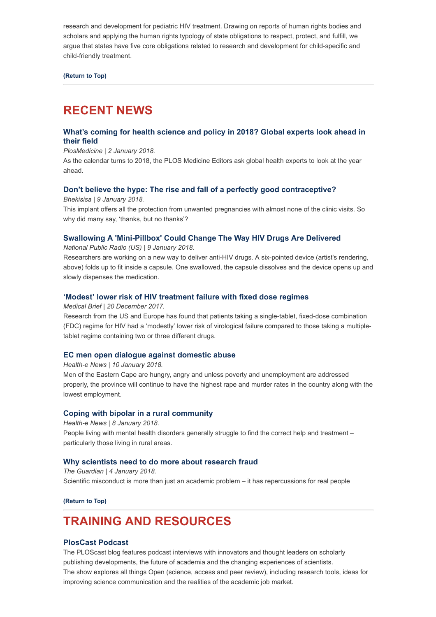research and development for pediatric HIV treatment. Drawing on reports of human rights bodies and scholars and applying the human rights typology of state obligations to respect, protect, and fulfill, we argue that states have five core obligations related to research and development for child-specific and child-friendly treatment.

[\(Return to Top\)](#page-0-1)

# <span id="page-2-0"></span>RECENT NEWS

#### [What's coming for health science and policy in 2018? Global experts look ahead in](http://blogs.plos.org/speakingofmedicine/2018/01/02/whats-coming-for-health-science-and-policy-in-2018/) their field

#### PlosMedicine | 2 January 2018.

As the calendar turns to 2018, the PLOS Medicine Editors ask global health experts to look at the year ahead.

#### [Don't believe the hype: The rise and fall of a perfectly good contraceptive?](http://bhekisisa.org/article/2018-01-09-00-why-south-africa-wasnt-ready-for-the-contraceptive-implant-implanon-nxt)

Bhekisisa | 9 January 2018.

This implant offers all the protection from unwanted pregnancies with almost none of the clinic visits. So why did many say, 'thanks, but no thanks'?

#### [Swallowing A 'Mini-Pillbox' Could Change The Way HIV Drugs Are Delivered](https://www.npr.org/sections/goatsandsoda/2018/01/09/576587339/swallowing-a-mini-pillbox-could-change-the-way-hiv-drugs-are-delivered?utm_source=dlvr.it&utm_medium=twitter&utm_source=Global+Health+NOW+Main+List&utm_campaign=d227ce1688-EMAIL_CAMPAIGN_2018_01_10&utm_medium=email&utm_term=0_8d0d062dbd-d227ce1688-2811001)

National Public Radio (US) | 9 January 2018.

Researchers are working on a new way to deliver anti-HIV drugs. A six-pointed device (artist's rendering, above) folds up to fit inside a capsule. One swallowed, the capsule dissolves and the device opens up and slowly dispenses the medication.

#### ['Modest' lower risk of HIV treatment failure with fixed dose regimes](https://www.medicalbrief.co.za/archives/modest-lower-risk-hiv-treatment-failure-fixed-dose-regimes/)

Medical Brief | 20 December 2017.

Research from the US and Europe has found that patients taking a single-tablet, fixed-dose combination (FDC) regime for HIV had a 'modestly' lower risk of virological failure compared to those taking a multipletablet regime containing two or three different drugs.

#### [EC men open dialogue against domestic abuse](https://www.health-e.org.za/2018/01/10/ec-men-open-dialogue-domestic-abuse/)

#### Health-e News | 10 January 2018.

Men of the Eastern Cape are hungry, angry and unless poverty and unemployment are addressed properly, the province will continue to have the highest rape and murder rates in the country along with the lowest employment.

#### [Coping with bipolar in a rural community](https://www.health-e.org.za/2018/01/08/coping-bipolar-rural-community/)

Health-e News | 8 January 2018. People living with mental health disorders generally struggle to find the correct help and treatment – particularly those living in rural areas.

#### [Why scientists need to do more about research fraud](https://www.theguardian.com/science/occams-corner/2018/jan/04/science-fraud-research-misconduct?utm_source=Global+Health+NOW+Main+List&utm_campaign=d227ce1688-EMAIL_CAMPAIGN_2018_01_10&utm_medium=email&utm_term=0_8d0d062dbd-d227ce1688-2811001)

The Guardian | 4 January 2018. Scientific misconduct is more than just an academic problem – it has repercussions for real people

[\(Return to Top\)](#page-0-1)

# <span id="page-2-1"></span>TRAINING AND RESOURCES

#### [PlosCast Podcast](http://blogs.plos.org/plospodcasts/)

The PLOScast blog features podcast interviews with innovators and thought leaders on scholarly publishing developments, the future of academia and the changing experiences of scientists. The show explores all things Open (science, access and peer review), including research tools, ideas for improving science communication and the realities of the academic job market.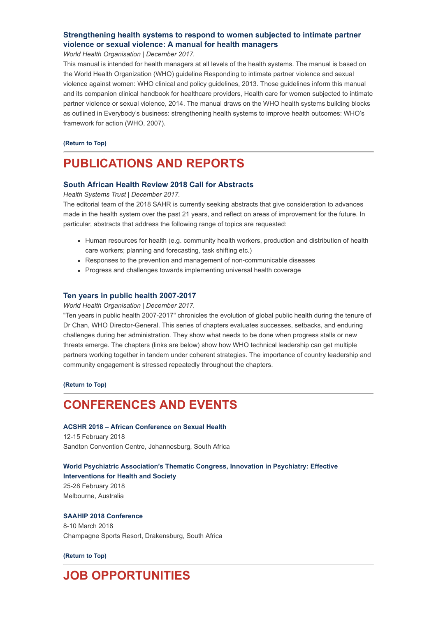#### [Strengthening health systems to respond to women subjected to intimate partner](http://www.hst.org.za/publications/NonHST%20Publications/Intimate%20partner%20violence_WHO.pdf) violence or sexual violence: A manual for health managers

World Health Organisation | December 2017.

This manual is intended for health managers at all levels of the health systems. The manual is based on the World Health Organization (WHO) guideline Responding to intimate partner violence and sexual violence against women: WHO clinical and policy guidelines, 2013. Those guidelines inform this manual and its companion clinical handbook for healthcare providers, Health care for women subjected to intimate partner violence or sexual violence, 2014. The manual draws on the WHO health systems building blocks as outlined in Everybody's business: strengthening health systems to improve health outcomes: WHO's framework for action (WHO, 2007).

[\(Return to Top\)](#page-0-1)

# <span id="page-3-0"></span>PUBLICATIONS AND REPORTS

#### [South African Health Review 2018 Call for Abstracts](http://www.hst.org.za/publications/Pages/SAHR-2018-Call-for-Abstracts.aspx)

Health Systems Trust | December 2017.

The editorial team of the 2018 SAHR is currently seeking abstracts that give consideration to advances made in the health system over the past 21 years, and reflect on areas of improvement for the future. In particular, abstracts that address the following range of topics are requested:

- Human resources for health (e.g. community health workers, production and distribution of health care workers; planning and forecasting, task shifting etc.)
- Responses to the prevention and management of non-communicable diseases
- Progress and challenges towards implementing universal health coverage

#### [Ten years in public health 2007-2017](http://www.hst.org.za/publications/NonHST%20Publications/Ten%20Years%20in%20Public%20Health%202007-2017.pdf)

World Health Organisation | December 2017.

"Ten years in public health 2007-2017" chronicles the evolution of global public health during the tenure of Dr Chan, WHO Director-General. This series of chapters evaluates successes, setbacks, and enduring challenges during her administration. They show what needs to be done when progress stalls or new threats emerge. The chapters (links are below) show how WHO technical leadership can get multiple partners working together in tandem under coherent strategies. The importance of country leadership and community engagement is stressed repeatedly throughout the chapters.

[\(Return to Top\)](#page-0-1)

## <span id="page-3-1"></span>CONFERENCES AND EVENTS

#### [ACSHR 2018 – African Conference on Sexual Health](http://www.africasexuality.org/)

12-15 February 2018 Sandton Convention Centre, Johannesburg, South Africa

[World Psychiatric Association's Thematic Congress, Innovation in Psychiatry: Effective](http://wpamelbourne.kenes.com/) Interventions for Health and Society 25-28 February 2018 Melbourne, Australia

#### [SAAHIP 2018 Conference](http://www.saahip.org.za/download/saahip-conference-2018-delegate-invitation/) 8-10 March 2018

Champagne Sports Resort, Drakensburg, South Africa

[\(Return to Top\)](#page-0-1)

# <span id="page-3-2"></span>JOB OPPORTUNITIES